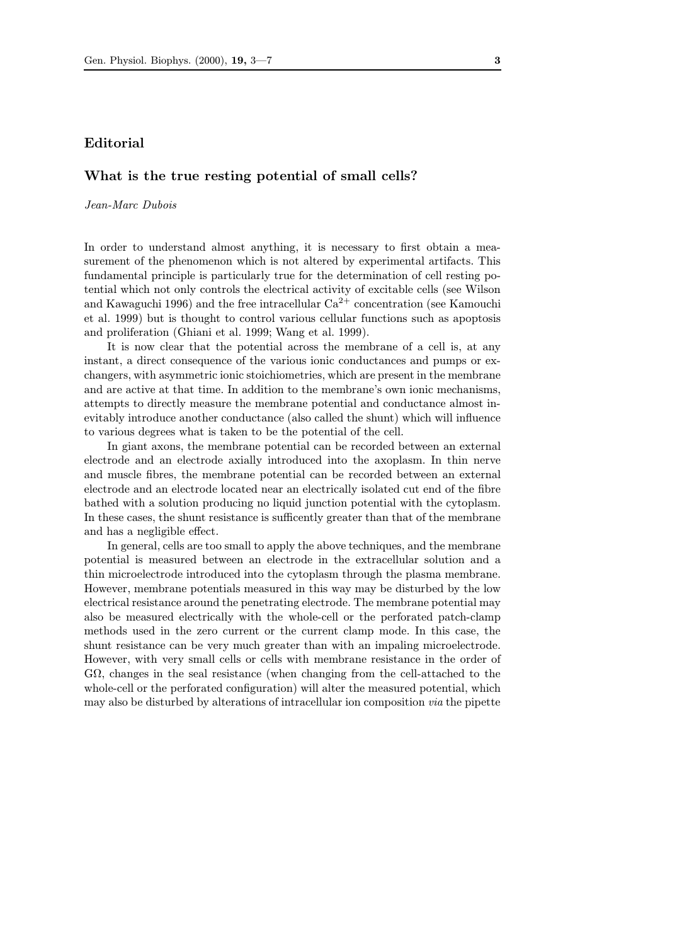## Editorial

## What is the true resting potential of small cells?

Jean-Marc Dubois

In order to understand almost anything, it is necessary to first obtain a measurement of the phenomenon which is not altered by experimental artifacts. This fundamental principle is particularly true for the determination of cell resting potential which not only controls the electrical activity of excitable cells (see Wilson and Kawaguchi 1996) and the free intracellular  $Ca^{2+}$  concentration (see Kamouchi et al. 1999) but is thought to control various cellular functions such as apoptosis and proliferation (Ghiani et al. 1999; Wang et al. 1999).

It is now clear that the potential across the membrane of a cell is, at any instant, a direct consequence of the various ionic conductances and pumps or exchangers, with asymmetric ionic stoichiometries, which are present in the membrane and are active at that time. In addition to the membrane's own ionic mechanisms, attempts to directly measure the membrane potential and conductance almost inevitably introduce another conductance (also called the shunt) which will influence to various degrees what is taken to be the potential of the cell.

In giant axons, the membrane potential can be recorded between an external electrode and an electrode axially introduced into the axoplasm. In thin nerve and muscle fibres, the membrane potential can be recorded between an external electrode and an electrode located near an electrically isolated cut end of the fibre bathed with a solution producing no liquid junction potential with the cytoplasm. In these cases, the shunt resistance is sufficently greater than that of the membrane and has a negligible effect.

In general, cells are too small to apply the above techniques, and the membrane potential is measured between an electrode in the extracellular solution and a thin microelectrode introduced into the cytoplasm through the plasma membrane. However, membrane potentials measured in this way may be disturbed by the low electrical resistance around the penetrating electrode. The membrane potential may also be measured electrically with the whole-cell or the perforated patch-clamp methods used in the zero current or the current clamp mode. In this case, the shunt resistance can be very much greater than with an impaling microelectrode. However, with very small cells or cells with membrane resistance in the order of  $G\Omega$ , changes in the seal resistance (when changing from the cell-attached to the whole-cell or the perforated configuration) will alter the measured potential, which may also be disturbed by alterations of intracellular ion composition via the pipette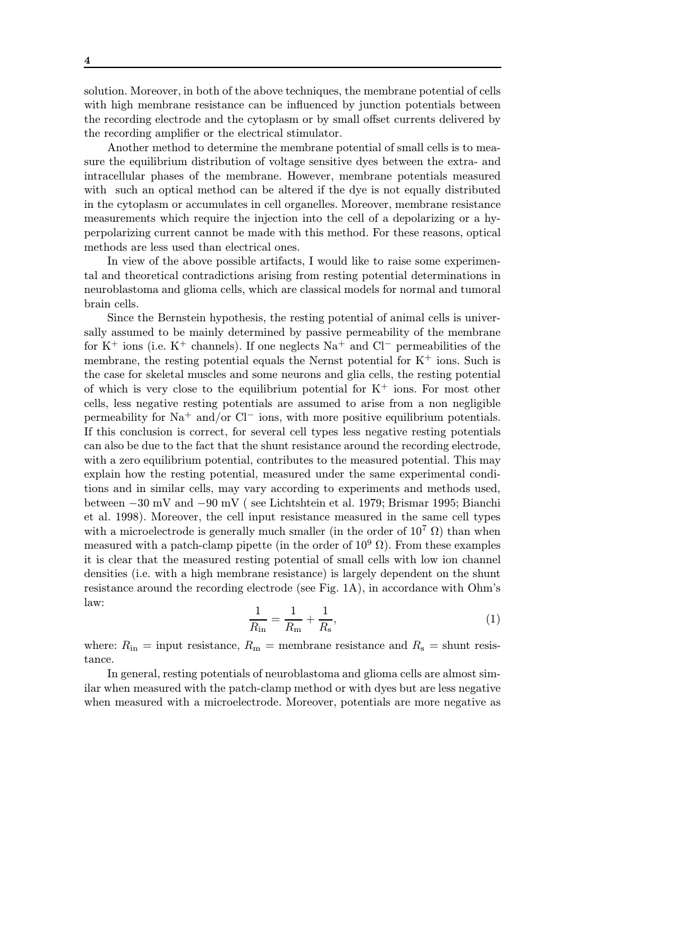solution. Moreover, in both of the above techniques, the membrane potential of cells with high membrane resistance can be influenced by junction potentials between the recording electrode and the cytoplasm or by small offset currents delivered by the recording amplifier or the electrical stimulator.

Another method to determine the membrane potential of small cells is to measure the equilibrium distribution of voltage sensitive dyes between the extra- and intracellular phases of the membrane. However, membrane potentials measured with such an optical method can be altered if the dye is not equally distributed in the cytoplasm or accumulates in cell organelles. Moreover, membrane resistance measurements which require the injection into the cell of a depolarizing or a hyperpolarizing current cannot be made with this method. For these reasons, optical methods are less used than electrical ones.

In view of the above possible artifacts, I would like to raise some experimental and theoretical contradictions arising from resting potential determinations in neuroblastoma and glioma cells, which are classical models for normal and tumoral brain cells.

Since the Bernstein hypothesis, the resting potential of animal cells is universally assumed to be mainly determined by passive permeability of the membrane for K<sup>+</sup> ions (i.e. K<sup>+</sup> channels). If one neglects Na<sup>+</sup> and Cl*<sup>−</sup>* permeabilities of the membrane, the resting potential equals the Nernst potential for  $K^+$  ions. Such is the case for skeletal muscles and some neurons and glia cells, the resting potential of which is very close to the equilibrium potential for  $K^+$  ions. For most other cells, less negative resting potentials are assumed to arise from a non negligible permeability for Na<sup>+</sup> and/or Cl*<sup>−</sup>* ions, with more positive equilibrium potentials. If this conclusion is correct, for several cell types less negative resting potentials can also be due to the fact that the shunt resistance around the recording electrode, with a zero equilibrium potential, contributes to the measured potential. This may explain how the resting potential, measured under the same experimental conditions and in similar cells, may vary according to experiments and methods used, between *−*30 mV and *−*90 mV ( see Lichtshtein et al. 1979; Brismar 1995; Bianchi et al. 1998). Moreover, the cell input resistance measured in the same cell types with a microelectrode is generally much smaller (in the order of  $10^7 \Omega$ ) than when measured with a patch-clamp pipette (in the order of  $10^9 \Omega$ ). From these examples it is clear that the measured resting potential of small cells with low ion channel densities (i.e. with a high membrane resistance) is largely dependent on the shunt resistance around the recording electrode (see Fig. 1A), in accordance with Ohm's law:

$$
\frac{1}{R_{\rm in}} = \frac{1}{R_{\rm m}} + \frac{1}{R_{\rm s}},\tag{1}
$$

where:  $R_{\text{in}}$  = input resistance,  $R_{\text{m}}$  = membrane resistance and  $R_{\text{s}}$  = shunt resistance.

In general, resting potentials of neuroblastoma and glioma cells are almost similar when measured with the patch-clamp method or with dyes but are less negative when measured with a microelectrode. Moreover, potentials are more negative as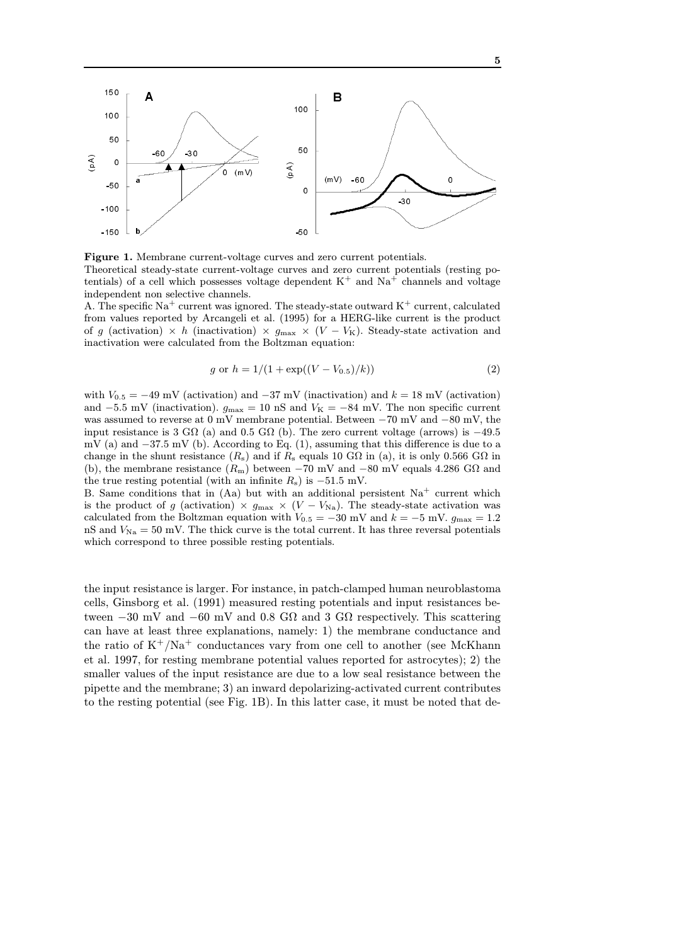

Figure 1. Membrane current-voltage curves and zero current potentials. Theoretical steady-state current-voltage curves and zero current potentials (resting potentials) of a cell which possesses voltage dependent  $K^+$  and  $Na^+$  channels and voltage independent non selective channels.

A. The specific  $\mathrm{Na}^+$  current was ignored. The steady-state outward  $\mathrm{K}^+$  current, calculated from values reported by Arcangeli et al. (1995) for a HERG-like current is the product of *g* (activation)  $\times h$  (inactivation)  $\times g_{\text{max}} \times (V - V_K)$ . Steady-state activation and inactivation were calculated from the Boltzman equation:

$$
g \text{ or } h = 1/(1 + \exp((V - V_{0.5})/k))
$$
 (2)

with *<sup>V</sup>*<sup>0</sup>*.*<sup>5</sup> <sup>=</sup> *<sup>−</sup>*49 mV (activation) and *<sup>−</sup>*37 mV (inactivation) and *<sup>k</sup>* = 18 mV (activation) and  $-5.5$  mV (inactivation).  $g_{\text{max}} = 10$  nS and  $V_K = -84$  mV. The non specific current was assumed to reverse at 0 mV membrane potential. Between *−*70 mV and *−*80 mV, the input resistance is 3 GΩ (a) and 0.5 GΩ (b). The zero current voltage (arrows) is *<sup>−</sup>*49*.*<sup>5</sup> mV (a) and *<sup>−</sup>*37*.*5 mV (b). According to Eq. (1), assuming that this difference is due to a change in the shunt resistance  $(R_s)$  and if  $R_s$  equals 10 G $\Omega$  in (a), it is only 0.566 G $\Omega$  in (b), the membrane resistance  $(R_m)$  between  $-70$  mV and  $-80$  mV equals 4.286 G $\Omega$  and the true resting potential (with an infinite  $R_s$ ) is  $-51.5$  mV.

B. Same conditions that in (Aa) but with an additional persistent  $Na<sup>+</sup>$  current which is the product of *g* (activation)  $\times$   $g_{\text{max}} \times (V - V_{\text{Na}})$ . The steady-state activation was calculated from the Boltzman equation with  $V_{0.5} = -30$  mV and  $k = -5$  mV.  $g_{\text{max}} = 1.2$ nS and  $V_{\text{Na}} = 50$  mV. The thick curve is the total current. It has three reversal potentials which correspond to three possible resting potentials.

the input resistance is larger. For instance, in patch-clamped human neuroblastoma cells, Ginsborg et al. (1991) measured resting potentials and input resistances between *−*30 mV and *−*60 mV and 0.8 GΩ and 3 GΩ respectively. This scattering can have at least three explanations, namely: 1) the membrane conductance and the ratio of  $K^+/Na^+$  conductances vary from one cell to another (see McKhann et al. 1997, for resting membrane potential values reported for astrocytes); 2) the smaller values of the input resistance are due to a low seal resistance between the pipette and the membrane; 3) an inward depolarizing-activated current contributes to the resting potential (see Fig. 1B). In this latter case, it must be noted that de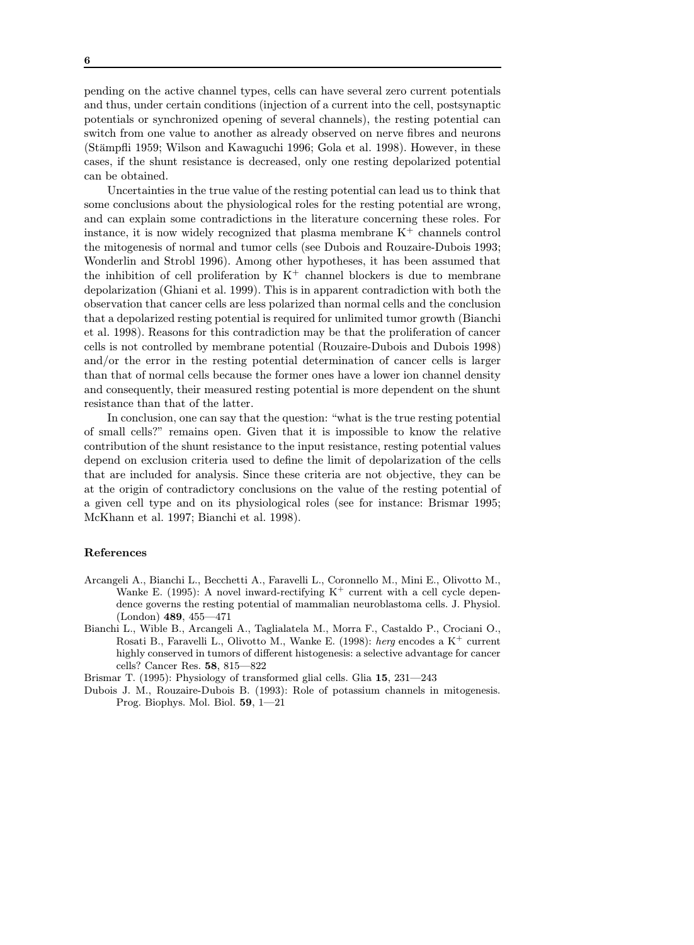pending on the active channel types, cells can have several zero current potentials and thus, under certain conditions (injection of a current into the cell, postsynaptic potentials or synchronized opening of several channels), the resting potential can switch from one value to another as already observed on nerve fibres and neurons (Stämpfli 1959; Wilson and Kawaguchi 1996; Gola et al. 1998). However, in these cases, if the shunt resistance is decreased, only one resting depolarized potential can be obtained.

Uncertainties in the true value of the resting potential can lead us to think that some conclusions about the physiological roles for the resting potential are wrong, and can explain some contradictions in the literature concerning these roles. For instance, it is now widely recognized that plasma membrane  $K^+$  channels control the mitogenesis of normal and tumor cells (see Dubois and Rouzaire-Dubois 1993; Wonderlin and Strobl 1996). Among other hypotheses, it has been assumed that the inhibition of cell proliferation by  $K^+$  channel blockers is due to membrane depolarization (Ghiani et al. 1999). This is in apparent contradiction with both the observation that cancer cells are less polarized than normal cells and the conclusion that a depolarized resting potential is required for unlimited tumor growth (Bianchi et al. 1998). Reasons for this contradiction may be that the proliferation of cancer cells is not controlled by membrane potential (Rouzaire-Dubois and Dubois 1998) and/or the error in the resting potential determination of cancer cells is larger than that of normal cells because the former ones have a lower ion channel density and consequently, their measured resting potential is more dependent on the shunt resistance than that of the latter.

In conclusion, one can say that the question: "what is the true resting potential of small cells?" remains open. Given that it is impossible to know the relative contribution of the shunt resistance to the input resistance, resting potential values depend on exclusion criteria used to define the limit of depolarization of the cells that are included for analysis. Since these criteria are not objective, they can be at the origin of contradictory conclusions on the value of the resting potential of a given cell type and on its physiological roles (see for instance: Brismar 1995; McKhann et al. 1997; Bianchi et al. 1998).

## References

- Arcangeli A., Bianchi L., Becchetti A., Faravelli L., Coronnello M., Mini E., Olivotto M., Wanke E. (1995): A novel inward-rectifying  $K^+$  current with a cell cycle dependence governs the resting potential of mammalian neuroblastoma cells. J. Physiol. (London) 489, 455—471
- Bianchi L., Wible B., Arcangeli A., Taglialatela M., Morra F., Castaldo P., Crociani O., Rosati B., Faravelli L., Olivotto M., Wanke E. (1998): herg encodes a  $K^+$  current highly conserved in tumors of different histogenesis: a selective advantage for cancer cells? Cancer Res. 58, 815—822

Brismar T. (1995): Physiology of transformed glial cells. Glia 15, 231—243

Dubois J. M., Rouzaire-Dubois B. (1993): Role of potassium channels in mitogenesis. Prog. Biophys. Mol. Biol. 59, 1—21